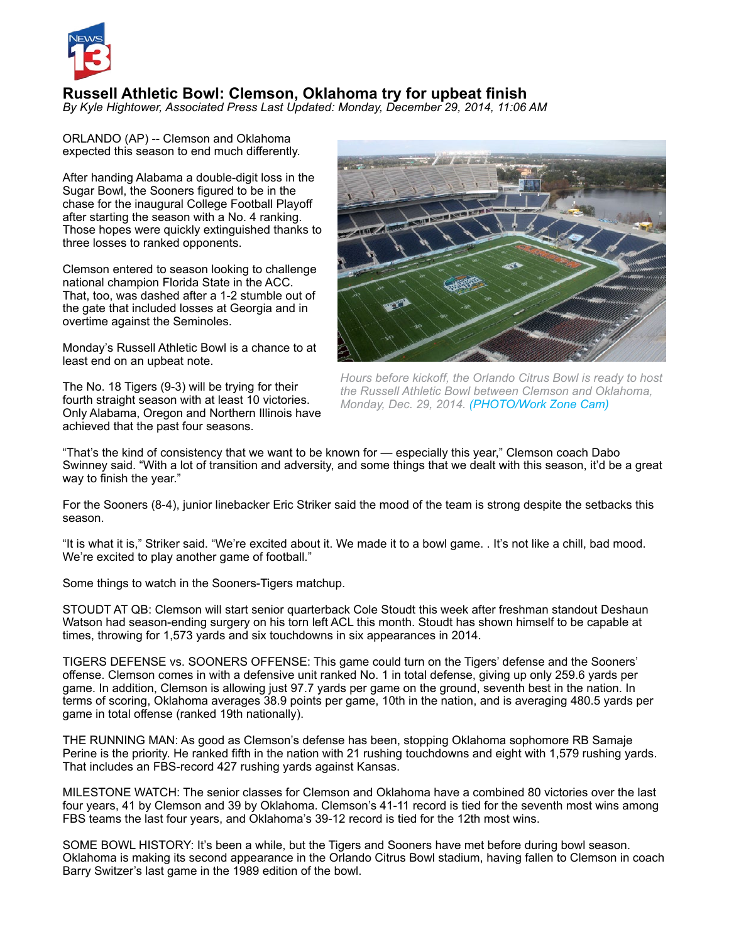

# **Russell Athletic Bowl: Clemson, Oklahoma try for upbeat finish**

*By Kyle Hightower, Associated Press Last Updated: Monday, December 29, 2014, 11:06 AM* 

ORLANDO (AP) -- Clemson and Oklahoma expected this season to end much differently.

After handing Alabama a double-digit loss in the Sugar Bowl, the Sooners figured to be in the chase for the inaugural College Football Playoff after starting the season with a No. 4 ranking. Those hopes were quickly extinguished thanks to three losses to ranked opponents.

Clemson entered to season looking to challenge national champion Florida State in the ACC. That, too, was dashed after a 1-2 stumble out of the gate that included losses at Georgia and in overtime against the Seminoles.

Monday's Russell Athletic Bowl is a chance to at least end on an upbeat note.

The No. 18 Tigers (9-3) will be trying for their fourth straight season with at least 10 victories. Only Alabama, Oregon and Northern Illinois have achieved that the past four seasons.



*Hours before kickoff, the Orlando Citrus Bowl is ready to host the Russell Athletic Bowl between Clemson and Oklahoma, Monday, Dec. 29, 2014. [\(PHOTO/Work Zone Cam\)](www.workzonecam.com)*

"That's the kind of consistency that we want to be known for — especially this year," Clemson coach Dabo Swinney said. "With a lot of transition and adversity, and some things that we dealt with this season, it'd be a great way to finish the year."

For the Sooners (8-4), junior linebacker Eric Striker said the mood of the team is strong despite the setbacks this season.

"It is what it is," Striker said. "We're excited about it. We made it to a bowl game. . It's not like a chill, bad mood. We're excited to play another game of football."

Some things to watch in the Sooners-Tigers matchup.

STOUDT AT QB: Clemson will start senior quarterback Cole Stoudt this week after freshman standout Deshaun Watson had season-ending surgery on his torn left ACL this month. Stoudt has shown himself to be capable at times, throwing for 1,573 yards and six touchdowns in six appearances in 2014.

TIGERS DEFENSE vs. SOONERS OFFENSE: This game could turn on the Tigers' defense and the Sooners' offense. Clemson comes in with a defensive unit ranked No. 1 in total defense, giving up only 259.6 yards per game. In addition, Clemson is allowing just 97.7 yards per game on the ground, seventh best in the nation. In terms of scoring, Oklahoma averages 38.9 points per game, 10th in the nation, and is averaging 480.5 yards per game in total offense (ranked 19th nationally).

THE RUNNING MAN: As good as Clemson's defense has been, stopping Oklahoma sophomore RB Samaje Perine is the priority. He ranked fifth in the nation with 21 rushing touchdowns and eight with 1,579 rushing yards. That includes an FBS-record 427 rushing yards against Kansas.

MILESTONE WATCH: The senior classes for Clemson and Oklahoma have a combined 80 victories over the last four years, 41 by Clemson and 39 by Oklahoma. Clemson's 41-11 record is tied for the seventh most wins among FBS teams the last four years, and Oklahoma's 39-12 record is tied for the 12th most wins.

SOME BOWL HISTORY: It's been a while, but the Tigers and Sooners have met before during bowl season. Oklahoma is making its second appearance in the Orlando Citrus Bowl stadium, having fallen to Clemson in coach Barry Switzer's last game in the 1989 edition of the bowl.